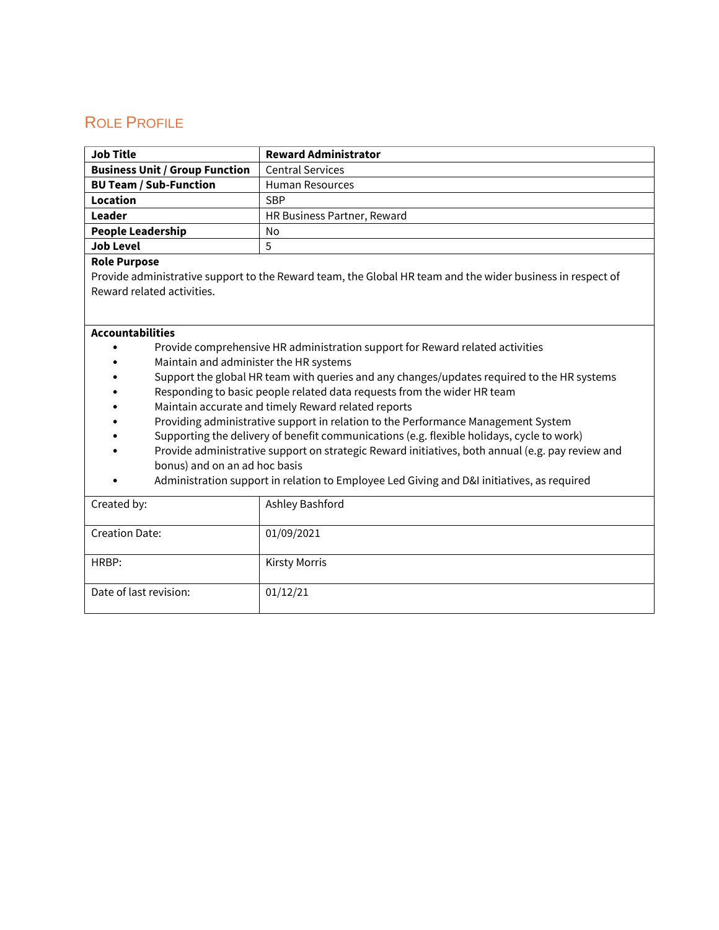# ROLE PROFILE

| <b>Job Title</b>                      | <b>Reward Administrator</b> |
|---------------------------------------|-----------------------------|
| <b>Business Unit / Group Function</b> | <b>Central Services</b>     |
| <b>BU Team / Sub-Function</b>         | <b>Human Resources</b>      |
| Location                              | <b>SBP</b>                  |
| Leader                                | HR Business Partner, Reward |
| <b>People Leadership</b>              | No                          |
| <b>Job Level</b>                      |                             |

#### **Role Purpose**

Provide administrative support to the Reward team, the Global HR team and the wider business in respect of Reward related activities.

#### **Accountabilities**

- Provide comprehensive HR administration support for Reward related activities
- Maintain and administer the HR systems
- Support the global HR team with queries and any changes/updates required to the HR systems
- Responding to basic people related data requests from the wider HR team
- Maintain accurate and timely Reward related reports
- Providing administrative support in relation to the Performance Management System
- Supporting the delivery of benefit communications (e.g. flexible holidays, cycle to work)
- Provide administrative support on strategic Reward initiatives, both annual (e.g. pay review and bonus) and on an ad hoc basis
- Administration support in relation to Employee Led Giving and D&I initiatives, as required

| Created by:            | Ashley Bashford      |
|------------------------|----------------------|
| <b>Creation Date:</b>  | 01/09/2021           |
| HRBP:                  | <b>Kirsty Morris</b> |
| Date of last revision: | 01/12/21             |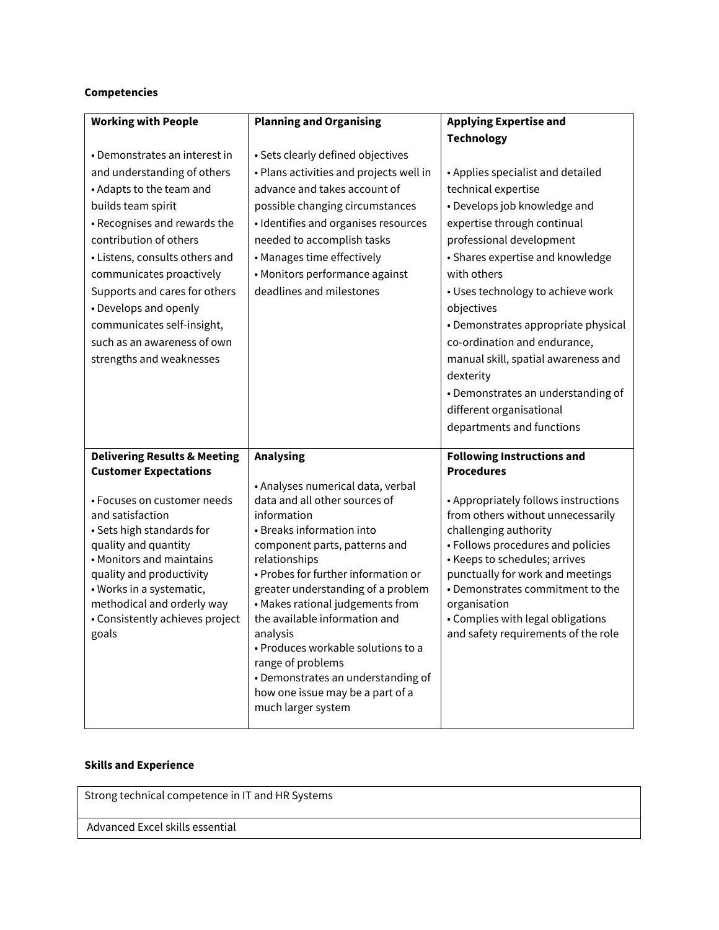### **Competencies**

| <b>Working with People</b>              | <b>Planning and Organising</b>                                     | <b>Applying Expertise and</b>                                             |
|-----------------------------------------|--------------------------------------------------------------------|---------------------------------------------------------------------------|
|                                         |                                                                    | <b>Technology</b>                                                         |
| • Demonstrates an interest in           | • Sets clearly defined objectives                                  |                                                                           |
| and understanding of others             | • Plans activities and projects well in                            | • Applies specialist and detailed                                         |
| • Adapts to the team and                | advance and takes account of                                       | technical expertise                                                       |
| builds team spirit                      | possible changing circumstances                                    | • Develops job knowledge and                                              |
| • Recognises and rewards the            | · Identifies and organises resources                               | expertise through continual                                               |
| contribution of others                  | needed to accomplish tasks                                         | professional development                                                  |
| • Listens, consults others and          | • Manages time effectively                                         | • Shares expertise and knowledge                                          |
| communicates proactively                | • Monitors performance against                                     | with others                                                               |
| Supports and cares for others           | deadlines and milestones                                           | • Uses technology to achieve work                                         |
| • Develops and openly                   |                                                                    | objectives                                                                |
| communicates self-insight,              |                                                                    | • Demonstrates appropriate physical                                       |
| such as an awareness of own             |                                                                    | co-ordination and endurance,                                              |
| strengths and weaknesses                |                                                                    | manual skill, spatial awareness and                                       |
|                                         |                                                                    | dexterity                                                                 |
|                                         |                                                                    | • Demonstrates an understanding of                                        |
|                                         |                                                                    | different organisational                                                  |
|                                         |                                                                    |                                                                           |
|                                         |                                                                    | departments and functions                                                 |
|                                         |                                                                    |                                                                           |
| <b>Delivering Results &amp; Meeting</b> | <b>Analysing</b>                                                   | <b>Following Instructions and</b>                                         |
| <b>Customer Expectations</b>            |                                                                    | <b>Procedures</b>                                                         |
| • Focuses on customer needs             | • Analyses numerical data, verbal<br>data and all other sources of |                                                                           |
| and satisfaction                        | information                                                        | • Appropriately follows instructions<br>from others without unnecessarily |
| • Sets high standards for               | • Breaks information into                                          | challenging authority                                                     |
| quality and quantity                    | component parts, patterns and                                      | · Follows procedures and policies                                         |
| • Monitors and maintains                | relationships                                                      | • Keeps to schedules; arrives                                             |
| quality and productivity                | • Probes for further information or                                | punctually for work and meetings                                          |
| · Works in a systematic,                | greater understanding of a problem                                 | • Demonstrates commitment to the                                          |
| methodical and orderly way              | • Makes rational judgements from                                   | organisation                                                              |
| • Consistently achieves project         | the available information and<br>analysis                          | • Complies with legal obligations                                         |
| goals                                   | • Produces workable solutions to a                                 | and safety requirements of the role                                       |
|                                         | range of problems                                                  |                                                                           |
|                                         | • Demonstrates an understanding of                                 |                                                                           |
|                                         | how one issue may be a part of a                                   |                                                                           |
|                                         | much larger system                                                 |                                                                           |

## **Skills and Experience**

Strong technical competence in IT and HR Systems

Advanced Excel skills essential